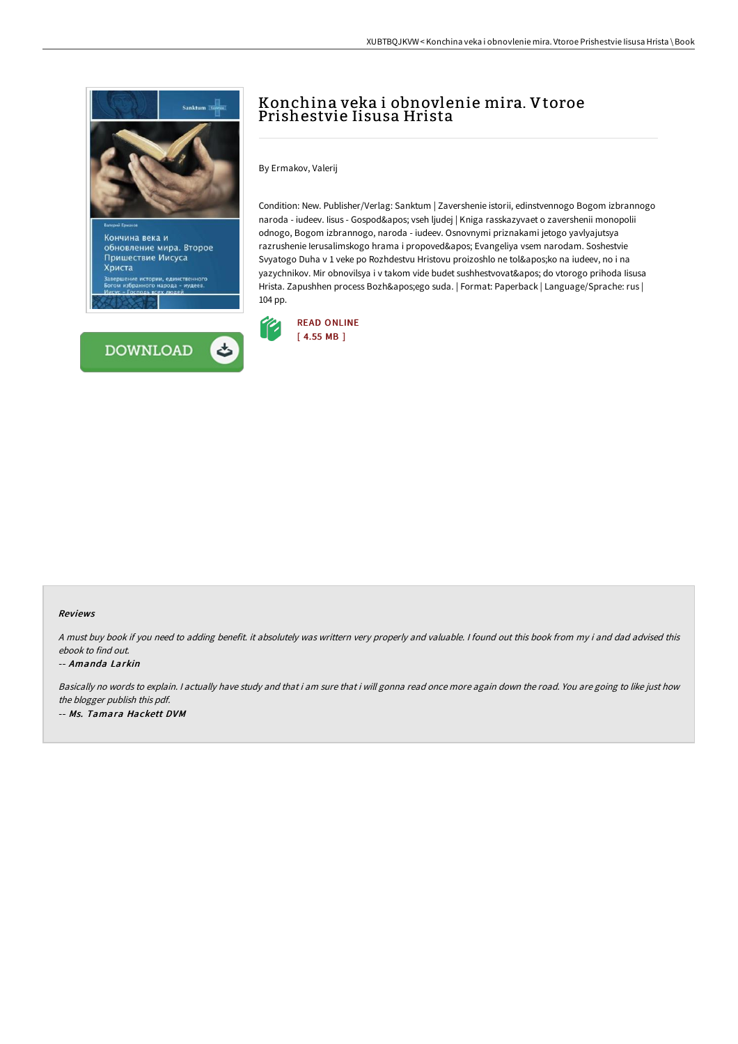

обновление мира. Второе Пришествие Иисуса Христа рии, единственного<br>о народа - иудеев.



## Konchina veka i obnovlenie mira. Vtoroe Prishestvie Iisusa Hrista

By Ermakov, Valerij

Condition: New. Publisher/Verlag: Sanktum | Zavershenie istorii, edinstvennogo Bogom izbrannogo naroda - iudeev. Iisus - Gospod' vseh ljudej | Kniga rasskazyvaet o zavershenii monopolii odnogo, Bogom izbrannogo, naroda - iudeev. Osnovnymi priznakami jetogo yavlyajutsya razrushenie Ierusalimskogo hrama i propoved' Evangeliya vsem narodam. Soshestvie Svyatogo Duha v 1 veke po Rozhdestvu Hristovu proizoshlo ne tol'ko na iudeev, no i na yazychnikov. Mir obnovilsya i v takom vide budet sushhestvovat' do vtorogo prihoda Iisusa Hrista. Zapushhen process Bozh'ego suda. | Format: Paperback | Language/Sprache: rus | 104 pp.



## Reviews

<sup>A</sup> must buy book if you need to adding benefit. it absolutely was writtern very properly and valuable. <sup>I</sup> found out this book from my i and dad advised this ebook to find out.

-- Amanda Larkin

Basically no words to explain. I actually have study and that i am sure that i will gonna read once more again down the road. You are going to like just how the blogger publish this pdf. -- Ms. Tamara Hackett DVM